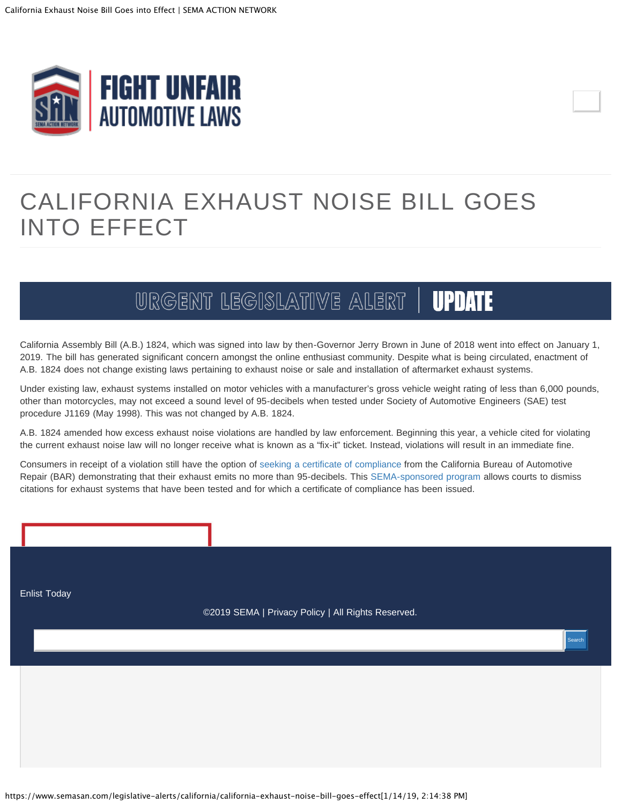<span id="page-0-0"></span>

## CALIFORNIA EXHAUST NOISE BILL GOES INTO EFFECT

## URGENT LEGISLATIVE ALERT **UPDATE**

California Assembly Bill (A.B.) 1824, which was signed into law by then-Governor Jerry Brown in June of 2018 went into effect on January 1, 2019. The bill has generated significant concern amongst the online enthusiast community. Despite what is being circulated, enactment of A.B. 1824 does not change existing laws pertaining to exhaust noise or sale and installation of aftermarket exhaust systems.

Under existing law, exhaust systems installed on motor vehicles with a manufacturer's gross vehicle weight rating of less than 6,000 pounds, other than motorcycles, may not exceed a sound level of 95-decibels when tested under Society of Automotive Engineers (SAE) test procedure J1169 (May 1998). This was not changed by A.B. 1824.

A.B. 1824 amended how excess exhaust noise violations are handled by law enforcement. Beginning this year, a vehicle cited for violating the current exhaust noise law will no longer receive what is known as a "fix-it" ticket. Instead, violations will result in an immediate fine.

Consumers in receipt of a violation still have the option of [seeking a certificate of compliance](https://bar.ca.gov/Consumer/Referee_Program/Vehicle_Exhaust_Noise_Level_Certification.html) from the California Bureau of Automotive Repair (BAR) demonstrating that their exhaust emits no more than 95-decibels. This [SEMA-sponsored program](https://www.semasan.com/legislative-alerts/california/california-exhaust-noise-testing-program-open-business) allows courts to dismiss citations for exhaust systems that have been tested and for which a certificate of compliance has been issued.

[Enlist Today](http://pages.message.sema.org/san-signup/)

©2019 [SEMA](https://www.sema.org/) | [Privacy Policy](https://www.sema.org/sema-privacy-policy) | All Rights Reserved.

Search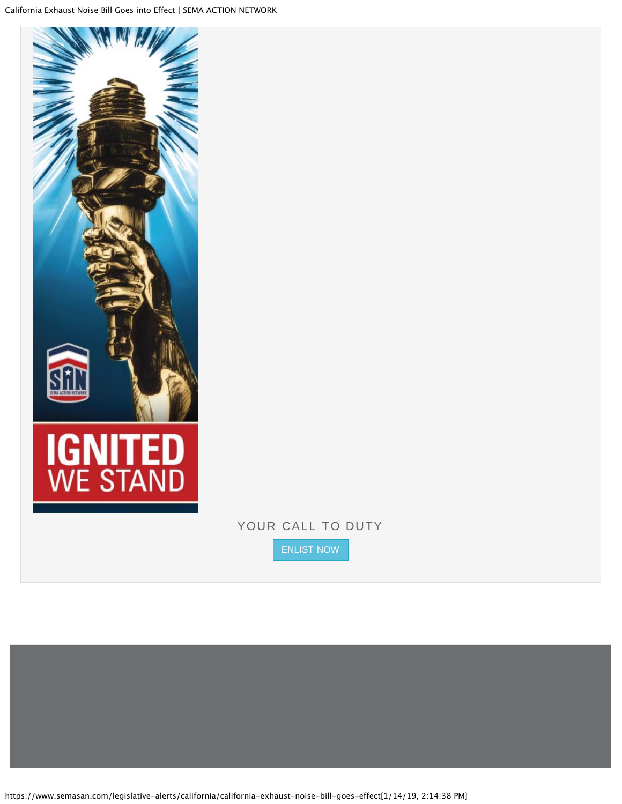

## YOUR CALL TO DUTY

[ENLIST NOW](https://pages.message.sema.org/SANsignup)